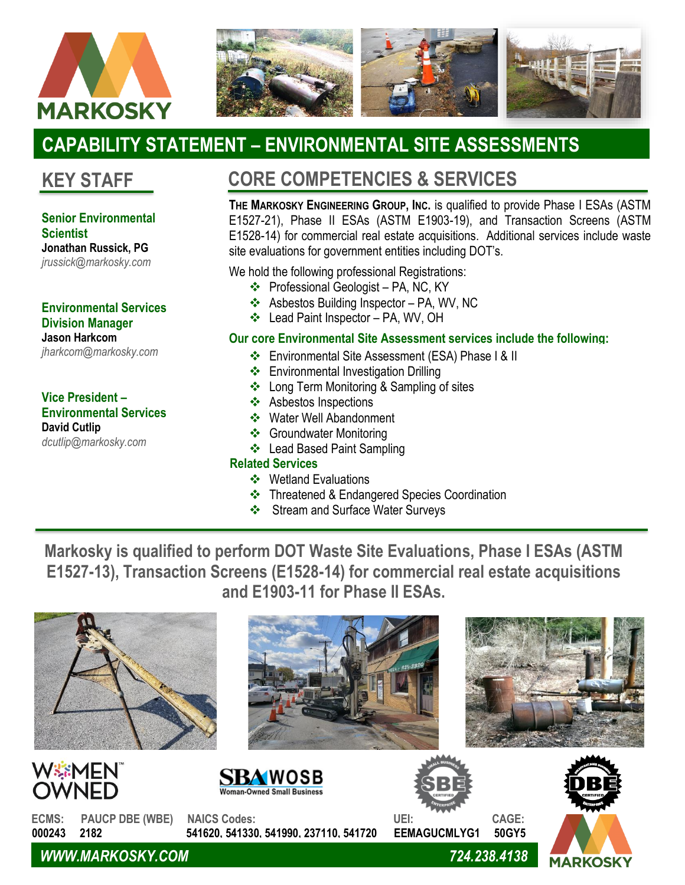



# **CAPABILITY STATEMENT – ENVIRONMENTAL SITE ASSESSMENTS**

### **KEY STAFF**

### **Senior Environmental Scientist**

**Jonathan Russick, PG** *jrussick@markosky.com*

#### **Environmental Services Division Manager Jason Harkcom**

*jharkcom@markosky.com*

#### **Vice President – Environmental Services David Cutlip** *dcutlip@markosky.com*

## **CORE COMPETENCIES & SERVICES**

**THE MARKOSKY ENGINEERING GROUP, INC.** is qualified to provide Phase I ESAs (ASTM E1527-21), Phase II ESAs (ASTM E1903-19), and Transaction Screens (ASTM E1528-14) for commercial real estate acquisitions. Additional services include waste site evaluations for government entities including DOT's.

We hold the following professional Registrations:

- ❖ Professional Geologist PA, NC, KY
- ❖ Asbestos Building Inspector PA, WV, NC
- ❖ Lead Paint Inspector PA, WV, OH

### **Our core Environmental Site Assessment services include the following:**

- ❖ Environmental Site Assessment (ESA) Phase I & II
- ❖ Environmental Investigation Drilling
- ❖ Long Term Monitoring & Sampling of sites
- ❖ Asbestos Inspections
- ❖ Water Well Abandonment
- ❖ Groundwater Monitoring
- ❖ Lead Based Paint Sampling

### **Related Services**

❖

- ❖ Wetland Evaluations
- ❖ Threatened & Endangered Species Coordination
- ❖ Stream and Surface Water Surveys

**Markosky is qualified to perform DOT Waste Site Evaluations, Phase I ESAs (ASTM E1527-13), Transaction Screens (E1528-14) for commercial real estate acquisitions and E1903-11 for Phase II ESAs.**